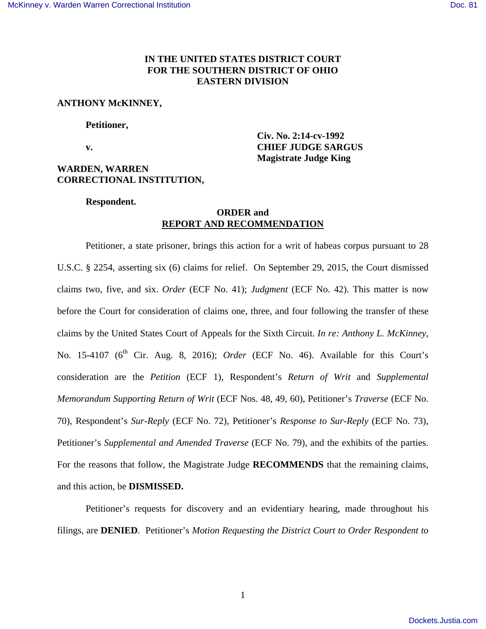# **IN THE UNITED STATES DISTRICT COURT FOR THE SOUTHERN DISTRICT OF OHIO EASTERN DIVISION**

 **Civ. No. 2:14-cv-1992** 

**Magistrate Judge King** 

# **ANTHONY McKINNEY,**

#### **Petitioner,**

 **v. CHIEF JUDGE SARGUS**

## **WARDEN, WARREN CORRECTIONAL INSTITUTION,**

 **Respondent.** 

# **ORDER and REPORT AND RECOMMENDATION**

 Petitioner, a state prisoner, brings this action for a writ of habeas corpus pursuant to 28 U.S.C. § 2254, asserting six (6) claims for relief. On September 29, 2015, the Court dismissed claims two, five, and six. *Order* (ECF No. 41); *Judgment* (ECF No. 42). This matter is now before the Court for consideration of claims one, three, and four following the transfer of these claims by the United States Court of Appeals for the Sixth Circuit. *In re: Anthony L. McKinney*, No. 15-4107 (6<sup>th</sup> Cir. Aug. 8, 2016); *Order* (ECF No. 46). Available for this Court's consideration are the *Petition* (ECF 1), Respondent's *Return of Writ* and *Supplemental Memorandum Supporting Return of Writ* (ECF Nos. 48, 49, 60), Petitioner's *Traverse* (ECF No. 70), Respondent's *Sur-Reply* (ECF No. 72), Petitioner's *Response to Sur-Reply* (ECF No. 73), Petitioner's *Supplemental and Amended Traverse* (ECF No. 79), and the exhibits of the parties. For the reasons that follow, the Magistrate Judge **RECOMMENDS** that the remaining claims, and this action, be **DISMISSED.** 

Petitioner's requests for discovery and an evidentiary hearing, made throughout his filings, are **DENIED**. Petitioner's *Motion Requesting the District Court to Order Respondent to*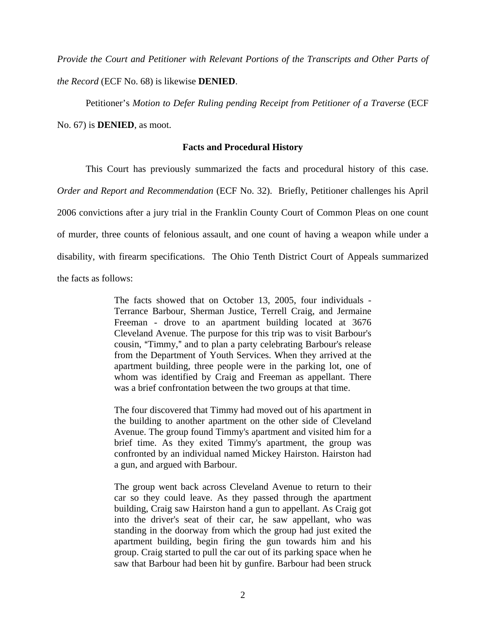*Provide the Court and Petitioner with Relevant Portions of the Transcripts and Other Parts of the Record* (ECF No. 68) is likewise **DENIED**.

Petitioner's *Motion to Defer Ruling pending Receipt from Petitioner of a Traverse* (ECF

No. 67) is **DENIED**, as moot.

## **Facts and Procedural History**

 This Court has previously summarized the facts and procedural history of this case. *Order and Report and Recommendation* (ECF No. 32). Briefly, Petitioner challenges his April 2006 convictions after a jury trial in the Franklin County Court of Common Pleas on one count of murder, three counts of felonious assault, and one count of having a weapon while under a disability, with firearm specifications. The Ohio Tenth District Court of Appeals summarized the facts as follows:

> The facts showed that on October 13, 2005, four individuals - Terrance Barbour, Sherman Justice, Terrell Craig, and Jermaine Freeman - drove to an apartment building located at 3676 Cleveland Avenue. The purpose for this trip was to visit Barbour's cousin, "Timmy," and to plan a party celebrating Barbour's release from the Department of Youth Services. When they arrived at the apartment building, three people were in the parking lot, one of whom was identified by Craig and Freeman as appellant. There was a brief confrontation between the two groups at that time.

> The four discovered that Timmy had moved out of his apartment in the building to another apartment on the other side of Cleveland Avenue. The group found Timmy's apartment and visited him for a brief time. As they exited Timmy's apartment, the group was confronted by an individual named Mickey Hairston. Hairston had a gun, and argued with Barbour.

> The group went back across Cleveland Avenue to return to their car so they could leave. As they passed through the apartment building, Craig saw Hairston hand a gun to appellant. As Craig got into the driver's seat of their car, he saw appellant, who was standing in the doorway from which the group had just exited the apartment building, begin firing the gun towards him and his group. Craig started to pull the car out of its parking space when he saw that Barbour had been hit by gunfire. Barbour had been struck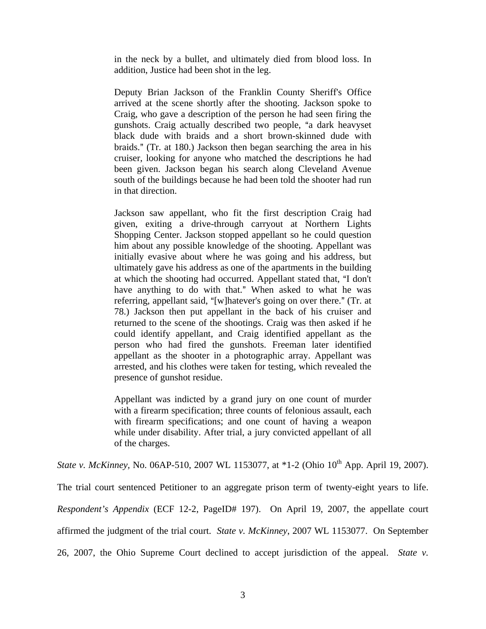in the neck by a bullet, and ultimately died from blood loss. In addition, Justice had been shot in the leg.

Deputy Brian Jackson of the Franklin County Sheriff's Office arrived at the scene shortly after the shooting. Jackson spoke to Craig, who gave a description of the person he had seen firing the gunshots. Craig actually described two people, "a dark heavyset black dude with braids and a short brown-skinned dude with braids." (Tr. at 180.) Jackson then began searching the area in his cruiser, looking for anyone who matched the descriptions he had been given. Jackson began his search along Cleveland Avenue south of the buildings because he had been told the shooter had run in that direction.

Jackson saw appellant, who fit the first description Craig had given, exiting a drive-through carryout at Northern Lights Shopping Center. Jackson stopped appellant so he could question him about any possible knowledge of the shooting. Appellant was initially evasive about where he was going and his address, but ultimately gave his address as one of the apartments in the building at which the shooting had occurred. Appellant stated that, "I don't have anything to do with that." When asked to what he was referring, appellant said, "[w]hatever's going on over there." (Tr. at 78.) Jackson then put appellant in the back of his cruiser and returned to the scene of the shootings. Craig was then asked if he could identify appellant, and Craig identified appellant as the person who had fired the gunshots. Freeman later identified appellant as the shooter in a photographic array. Appellant was arrested, and his clothes were taken for testing, which revealed the presence of gunshot residue.

Appellant was indicted by a grand jury on one count of murder with a firearm specification; three counts of felonious assault, each with firearm specifications; and one count of having a weapon while under disability. After trial, a jury convicted appellant of all of the charges.

*State v. McKinney, No.* 06AP-510, 2007 WL 1153077, at \*1-2 (Ohio 10<sup>th</sup> App. April 19, 2007).

The trial court sentenced Petitioner to an aggregate prison term of twenty-eight years to life. *Respondent's Appendix* (ECF 12-2, PageID# 197). On April 19, 2007, the appellate court affirmed the judgment of the trial court. *State v. McKinney*, 2007 WL 1153077. On September 26, 2007, the Ohio Supreme Court declined to accept jurisdiction of the appeal. *State v.*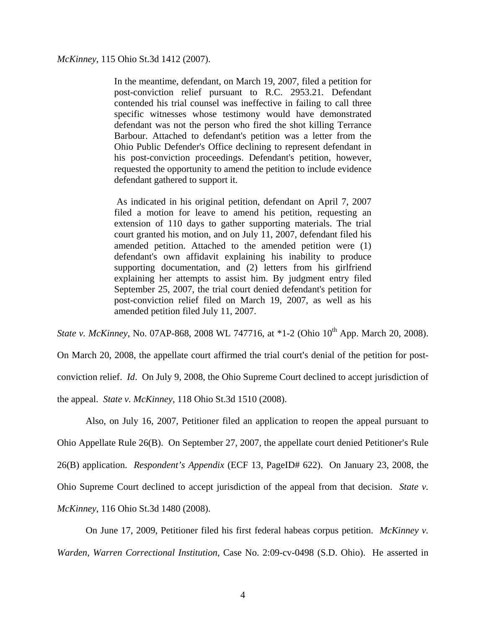*McKinney*, 115 Ohio St.3d 1412 (2007).

In the meantime, defendant, on March 19, 2007, filed a petition for post-conviction relief pursuant to R.C. 2953.21. Defendant contended his trial counsel was ineffective in failing to call three specific witnesses whose testimony would have demonstrated defendant was not the person who fired the shot killing Terrance Barbour. Attached to defendant's petition was a letter from the Ohio Public Defender's Office declining to represent defendant in his post-conviction proceedings. Defendant's petition, however, requested the opportunity to amend the petition to include evidence defendant gathered to support it.

 As indicated in his original petition, defendant on April 7, 2007 filed a motion for leave to amend his petition, requesting an extension of 110 days to gather supporting materials. The trial court granted his motion, and on July 11, 2007, defendant filed his amended petition. Attached to the amended petition were (1) defendant's own affidavit explaining his inability to produce supporting documentation, and (2) letters from his girlfriend explaining her attempts to assist him. By judgment entry filed September 25, 2007, the trial court denied defendant's petition for post-conviction relief filed on March 19, 2007, as well as his amended petition filed July 11, 2007.

*State v. McKinney*, No. 07AP-868, 2008 WL 747716, at \*1-2 (Ohio 10<sup>th</sup> App. March 20, 2008).

On March 20, 2008, the appellate court affirmed the trial court's denial of the petition for postconviction relief. *Id*. On July 9, 2008, the Ohio Supreme Court declined to accept jurisdiction of the appeal. *State v. McKinney*, 118 Ohio St.3d 1510 (2008).

Also, on July 16, 2007, Petitioner filed an application to reopen the appeal pursuant to Ohio Appellate Rule 26(B). On September 27, 2007, the appellate court denied Petitioner's Rule 26(B) application. *Respondent's Appendix* (ECF 13, PageID# 622). On January 23, 2008, the Ohio Supreme Court declined to accept jurisdiction of the appeal from that decision. *State v. McKinney*, 116 Ohio St.3d 1480 (2008).

On June 17, 2009, Petitioner filed his first federal habeas corpus petition. *McKinney v. Warden, Warren Correctional Institution,* Case No. 2:09-cv-0498 (S.D. Ohio). He asserted in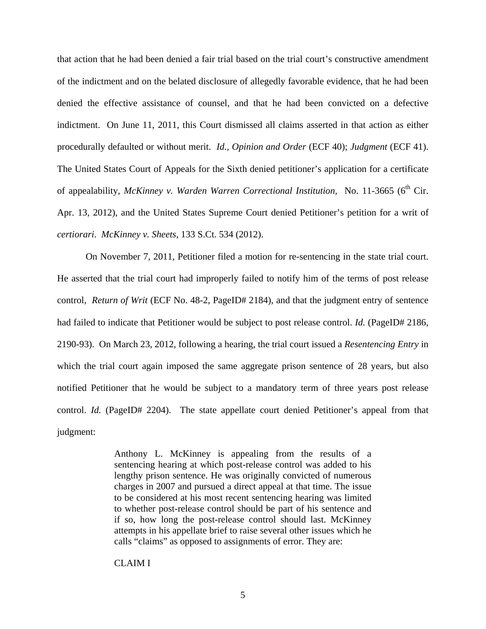that action that he had been denied a fair trial based on the trial court's constructive amendment of the indictment and on the belated disclosure of allegedly favorable evidence, that he had been denied the effective assistance of counsel, and that he had been convicted on a defective indictment. On June 11, 2011, this Court dismissed all claims asserted in that action as either procedurally defaulted or without merit. *Id., Opinion and Order* (ECF 40); *Judgment* (ECF 41). The United States Court of Appeals for the Sixth denied petitioner's application for a certificate of appealability, *McKinney v. Warden Warren Correctional Institution*, No. 11-3665 (6<sup>th</sup> Cir. Apr. 13, 2012), and the United States Supreme Court denied Petitioner's petition for a writ of *certiorari*. *McKinney v. Sheets*, 133 S.Ct. 534 (2012).

On November 7, 2011, Petitioner filed a motion for re-sentencing in the state trial court. He asserted that the trial court had improperly failed to notify him of the terms of post release control, *Return of Writ* (ECF No. 48-2, PageID# 2184), and that the judgment entry of sentence had failed to indicate that Petitioner would be subject to post release control. *Id.* (PageID# 2186, 2190-93). On March 23, 2012, following a hearing, the trial court issued a *Resentencing Entry* in which the trial court again imposed the same aggregate prison sentence of 28 years, but also notified Petitioner that he would be subject to a mandatory term of three years post release control. *Id.* (PageID# 2204). The state appellate court denied Petitioner's appeal from that judgment:

> Anthony L. McKinney is appealing from the results of a sentencing hearing at which post-release control was added to his lengthy prison sentence. He was originally convicted of numerous charges in 2007 and pursued a direct appeal at that time. The issue to be considered at his most recent sentencing hearing was limited to whether post-release control should be part of his sentence and if so, how long the post-release control should last. McKinney attempts in his appellate brief to raise several other issues which he calls "claims" as opposed to assignments of error. They are:

## CLAIM I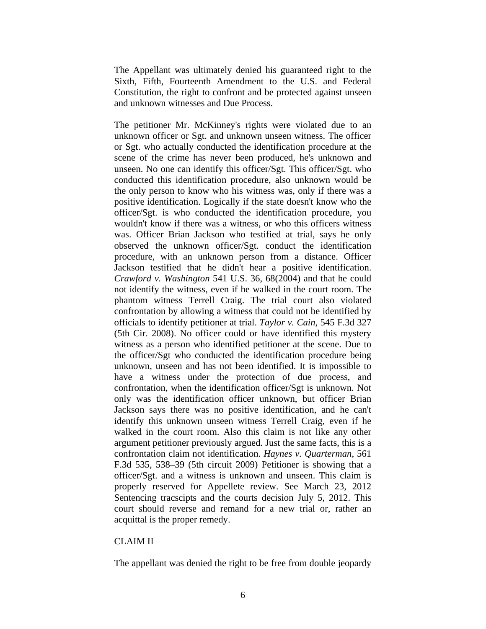The Appellant was ultimately denied his guaranteed right to the Sixth, Fifth, Fourteenth Amendment to the U.S. and Federal Constitution, the right to confront and be protected against unseen and unknown witnesses and Due Process.

The petitioner Mr. McKinney's rights were violated due to an unknown officer or Sgt. and unknown unseen witness. The officer or Sgt. who actually conducted the identification procedure at the scene of the crime has never been produced, he's unknown and unseen. No one can identify this officer/Sgt. This officer/Sgt. who conducted this identification procedure, also unknown would be the only person to know who his witness was, only if there was a positive identification. Logically if the state doesn't know who the officer/Sgt. is who conducted the identification procedure, you wouldn't know if there was a witness, or who this officers witness was. Officer Brian Jackson who testified at trial, says he only observed the unknown officer/Sgt. conduct the identification procedure, with an unknown person from a distance. Officer Jackson testified that he didn't hear a positive identification. *Crawford v. Washington* 541 U.S. 36, 68(2004) and that he could not identify the witness, even if he walked in the court room. The phantom witness Terrell Craig. The trial court also violated confrontation by allowing a witness that could not be identified by officials to identify petitioner at trial. *Taylor v. Cain*, 545 F.3d 327 (5th Cir. 2008). No officer could or have identified this mystery witness as a person who identified petitioner at the scene. Due to the officer/Sgt who conducted the identification procedure being unknown, unseen and has not been identified. It is impossible to have a witness under the protection of due process, and confrontation, when the identification officer/Sgt is unknown. Not only was the identification officer unknown, but officer Brian Jackson says there was no positive identification, and he can't identify this unknown unseen witness Terrell Craig, even if he walked in the court room. Also this claim is not like any other argument petitioner previously argued. Just the same facts, this is a confrontation claim not identification. *Haynes v. Quarterman*, 561 F.3d 535, 538–39 (5th circuit 2009) Petitioner is showing that a officer/Sgt. and a witness is unknown and unseen. This claim is properly reserved for Appellete review. See March 23, 2012 Sentencing tracscipts and the courts decision July 5, 2012. This court should reverse and remand for a new trial or, rather an acquittal is the proper remedy.

# CLAIM II

The appellant was denied the right to be free from double jeopardy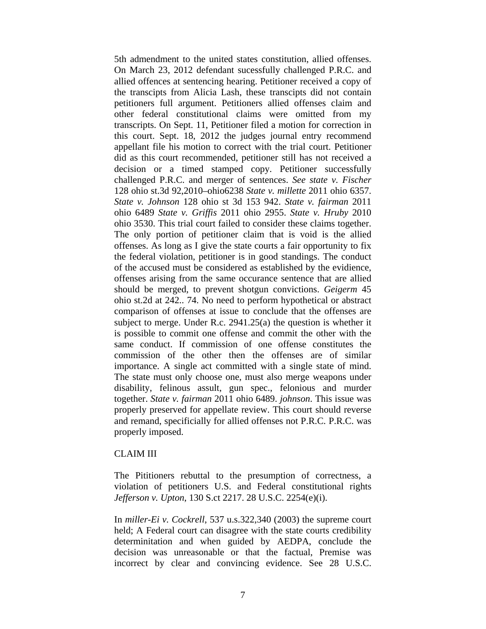5th admendment to the united states constitution, allied offenses. On March 23, 2012 defendant sucessfully challenged P.R.C. and allied offences at sentencing hearing. Petitioner received a copy of the transcipts from Alicia Lash, these transcipts did not contain petitioners full argument. Petitioners allied offenses claim and other federal constitutional claims were omitted from my transcripts. On Sept. 11, Petitioner filed a motion for correction in this court. Sept. 18, 2012 the judges journal entry recommend appellant file his motion to correct with the trial court. Petitioner did as this court recommended, petitioner still has not received a decision or a timed stamped copy. Petitioner successfully challenged P.R.C. and merger of sentences. *See state v. Fischer* 128 ohio st.3d 92,2010–ohio6238 *State v. millette* 2011 ohio 6357. *State v. Johnson* 128 ohio st 3d 153 942. *State v. fairman* 2011 ohio 6489 *State v. Griffis* 2011 ohio 2955. *State v. Hruby* 2010 ohio 3530. This trial court failed to consider these claims together. The only portion of petitioner claim that is void is the allied offenses. As long as I give the state courts a fair opportunity to fix the federal violation, petitioner is in good standings. The conduct of the accused must be considered as established by the evidience, offenses arising from the same occurance sentence that are allied should be merged, to prevent shotgun convictions. *Geigerm* 45 ohio st.2d at 242.. 74. No need to perform hypothetical or abstract comparison of offenses at issue to conclude that the offenses are subject to merge. Under R.c. 2941.25(a) the question is whether it is possible to commit one offense and commit the other with the same conduct. If commission of one offense constitutes the commission of the other then the offenses are of similar importance. A single act committed with a single state of mind. The state must only choose one, must also merge weapons under disability, felinous assult, gun spec., felonious and murder together. *State v. fairman* 2011 ohio 6489. *johnson*. This issue was properly preserved for appellate review. This court should reverse and remand, specificially for allied offenses not P.R.C. P.R.C. was properly imposed.

### CLAIM III

The Pititioners rebuttal to the presumption of correctness, a violation of petitioners U.S. and Federal constitutional rights *Jefferson v. Upton*, 130 S.ct 2217. 28 U.S.C. 2254(e)(i).

In *miller-Ei v. Cockrell*, 537 u.s.322,340 (2003) the supreme court held; A Federal court can disagree with the state courts credibility determinitation and when guided by AEDPA, conclude the decision was unreasonable or that the factual, Premise was incorrect by clear and convincing evidence. See 28 U.S.C.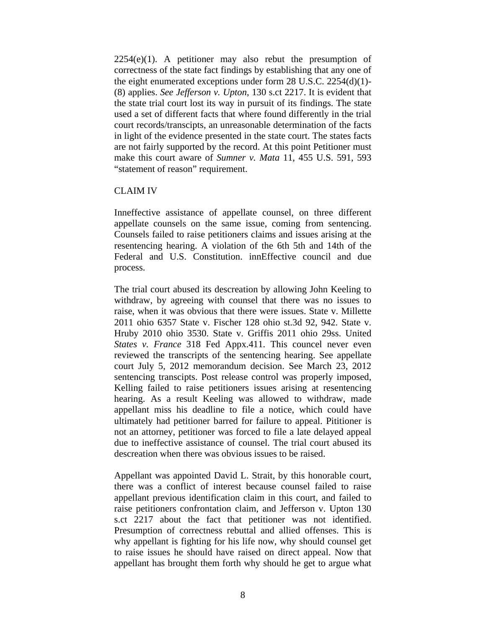$2254(e)(1)$ . A petitioner may also rebut the presumption of correctness of the state fact findings by establishing that any one of the eight enumerated exceptions under form 28 U.S.C. 2254(d)(1)- (8) applies. *See Jefferson v. Upton*, 130 s.ct 2217. It is evident that the state trial court lost its way in pursuit of its findings. The state used a set of different facts that where found differently in the trial court records/transcipts, an unreasonable determination of the facts in light of the evidence presented in the state court. The states facts are not fairly supported by the record. At this point Petitioner must make this court aware of *Sumner v. Mata* 11, 455 U.S. 591, 593 "statement of reason" requirement.

## CLAIM IV

Inneffective assistance of appellate counsel, on three different appellate counsels on the same issue, coming from sentencing. Counsels failed to raise petitioners claims and issues arising at the resentencing hearing. A violation of the 6th 5th and 14th of the Federal and U.S. Constitution. innEffective council and due process.

The trial court abused its descreation by allowing John Keeling to withdraw, by agreeing with counsel that there was no issues to raise, when it was obvious that there were issues. State v. Millette 2011 ohio 6357 State v. Fischer 128 ohio st.3d 92, 942. State v. Hruby 2010 ohio 3530. State v. Griffis 2011 ohio 29ss. United *States v. France* 318 Fed Appx.411. This councel never even reviewed the transcripts of the sentencing hearing. See appellate court July 5, 2012 memorandum decision. See March 23, 2012 sentencing transcipts. Post release control was properly imposed, Kelling failed to raise petitioners issues arising at resentencing hearing. As a result Keeling was allowed to withdraw, made appellant miss his deadline to file a notice, which could have ultimately had petitioner barred for failure to appeal. Pititioner is not an attorney, petitioner was forced to file a late delayed appeal due to ineffective assistance of counsel. The trial court abused its descreation when there was obvious issues to be raised.

Appellant was appointed David L. Strait, by this honorable court, there was a conflict of interest because counsel failed to raise appellant previous identification claim in this court, and failed to raise petitioners confrontation claim, and Jefferson v. Upton 130 s.ct 2217 about the fact that petitioner was not identified. Presumption of correctness rebuttal and allied offenses. This is why appellant is fighting for his life now, why should counsel get to raise issues he should have raised on direct appeal. Now that appellant has brought them forth why should he get to argue what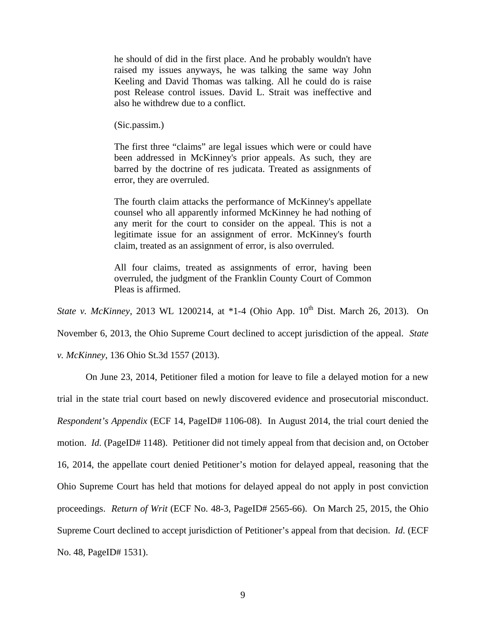he should of did in the first place. And he probably wouldn't have raised my issues anyways, he was talking the same way John Keeling and David Thomas was talking. All he could do is raise post Release control issues. David L. Strait was ineffective and also he withdrew due to a conflict.

(Sic.passim.)

The first three "claims" are legal issues which were or could have been addressed in McKinney's prior appeals. As such, they are barred by the doctrine of res judicata. Treated as assignments of error, they are overruled.

The fourth claim attacks the performance of McKinney's appellate counsel who all apparently informed McKinney he had nothing of any merit for the court to consider on the appeal. This is not a legitimate issue for an assignment of error. McKinney's fourth claim, treated as an assignment of error, is also overruled.

All four claims, treated as assignments of error, having been overruled, the judgment of the Franklin County Court of Common Pleas is affirmed.

*State v. McKinney*, 2013 WL 1200214, at \*1-4 (Ohio App. 10<sup>th</sup> Dist. March 26, 2013). On

November 6, 2013, the Ohio Supreme Court declined to accept jurisdiction of the appeal. *State* 

*v. McKinney*, 136 Ohio St.3d 1557 (2013).

 On June 23, 2014, Petitioner filed a motion for leave to file a delayed motion for a new trial in the state trial court based on newly discovered evidence and prosecutorial misconduct. *Respondent's Appendix* (ECF 14, PageID# 1106-08). In August 2014, the trial court denied the motion. *Id.* (PageID# 1148). Petitioner did not timely appeal from that decision and, on October 16, 2014, the appellate court denied Petitioner's motion for delayed appeal, reasoning that the Ohio Supreme Court has held that motions for delayed appeal do not apply in post conviction proceedings. *Return of Writ* (ECF No. 48-3, PageID# 2565-66). On March 25, 2015, the Ohio Supreme Court declined to accept jurisdiction of Petitioner's appeal from that decision. *Id.* (ECF No. 48, PageID# 1531).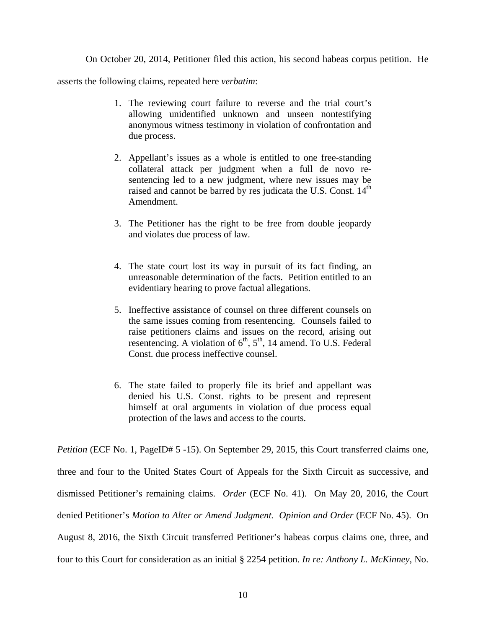On October 20, 2014, Petitioner filed this action, his second habeas corpus petition. He

asserts the following claims, repeated here *verbatim*:

- 1. The reviewing court failure to reverse and the trial court's allowing unidentified unknown and unseen nontestifying anonymous witness testimony in violation of confrontation and due process.
- 2. Appellant's issues as a whole is entitled to one free-standing collateral attack per judgment when a full de novo resentencing led to a new judgment, where new issues may be raised and cannot be barred by res judicata the U.S. Const.  $14<sup>th</sup>$ Amendment.
- 3. The Petitioner has the right to be free from double jeopardy and violates due process of law.
- 4. The state court lost its way in pursuit of its fact finding, an unreasonable determination of the facts. Petition entitled to an evidentiary hearing to prove factual allegations.
- 5. Ineffective assistance of counsel on three different counsels on the same issues coming from resentencing. Counsels failed to raise petitioners claims and issues on the record, arising out resentencing. A violation of  $6<sup>th</sup>$ ,  $5<sup>th</sup>$ , 14 amend. To U.S. Federal Const. due process ineffective counsel.
- 6. The state failed to properly file its brief and appellant was denied his U.S. Const. rights to be present and represent himself at oral arguments in violation of due process equal protection of the laws and access to the courts.

*Petition* (ECF No. 1, PageID# 5 -15). On September 29, 2015, this Court transferred claims one, three and four to the United States Court of Appeals for the Sixth Circuit as successive, and dismissed Petitioner's remaining claims. *Order* (ECF No. 41). On May 20, 2016, the Court denied Petitioner's *Motion to Alter or Amend Judgment. Opinion and Order* (ECF No. 45). On August 8, 2016, the Sixth Circuit transferred Petitioner's habeas corpus claims one, three, and four to this Court for consideration as an initial § 2254 petition. *In re: Anthony L. McKinney*, No.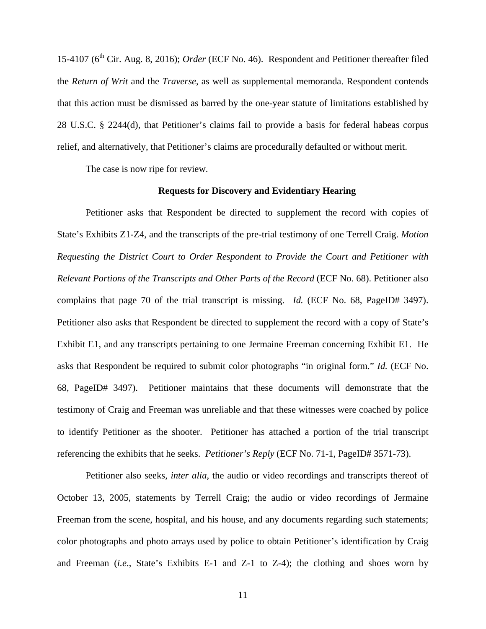15-4107 (6<sup>th</sup> Cir. Aug. 8, 2016); *Order* (ECF No. 46). Respondent and Petitioner thereafter filed the *Return of Writ* and the *Traverse*, as well as supplemental memoranda. Respondent contends that this action must be dismissed as barred by the one-year statute of limitations established by 28 U.S.C. § 2244(d), that Petitioner's claims fail to provide a basis for federal habeas corpus relief, and alternatively, that Petitioner's claims are procedurally defaulted or without merit.

The case is now ripe for review.

### **Requests for Discovery and Evidentiary Hearing**

Petitioner asks that Respondent be directed to supplement the record with copies of State's Exhibits Z1-Z4, and the transcripts of the pre-trial testimony of one Terrell Craig. *Motion Requesting the District Court to Order Respondent to Provide the Court and Petitioner with Relevant Portions of the Transcripts and Other Parts of the Record* (ECF No. 68). Petitioner also complains that page 70 of the trial transcript is missing. *Id.* (ECF No. 68, PageID# 3497). Petitioner also asks that Respondent be directed to supplement the record with a copy of State's Exhibit E1, and any transcripts pertaining to one Jermaine Freeman concerning Exhibit E1. He asks that Respondent be required to submit color photographs "in original form." *Id.* (ECF No. 68, PageID# 3497). Petitioner maintains that these documents will demonstrate that the testimony of Craig and Freeman was unreliable and that these witnesses were coached by police to identify Petitioner as the shooter. Petitioner has attached a portion of the trial transcript referencing the exhibits that he seeks. *Petitioner's Reply* (ECF No. 71-1, PageID# 3571-73).

Petitioner also seeks, *inter alia*, the audio or video recordings and transcripts thereof of October 13, 2005, statements by Terrell Craig; the audio or video recordings of Jermaine Freeman from the scene, hospital, and his house, and any documents regarding such statements; color photographs and photo arrays used by police to obtain Petitioner's identification by Craig and Freeman (*i.e*., State's Exhibits E-1 and Z-1 to Z-4); the clothing and shoes worn by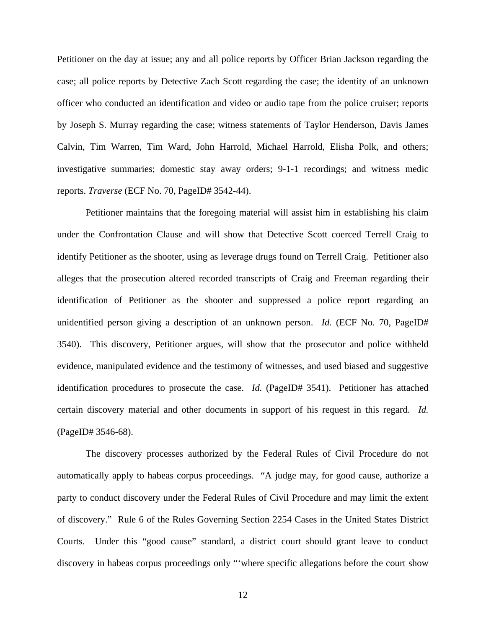Petitioner on the day at issue; any and all police reports by Officer Brian Jackson regarding the case; all police reports by Detective Zach Scott regarding the case; the identity of an unknown officer who conducted an identification and video or audio tape from the police cruiser; reports by Joseph S. Murray regarding the case; witness statements of Taylor Henderson, Davis James Calvin, Tim Warren, Tim Ward, John Harrold, Michael Harrold, Elisha Polk, and others; investigative summaries; domestic stay away orders; 9-1-1 recordings; and witness medic reports. *Traverse* (ECF No. 70, PageID# 3542-44).

Petitioner maintains that the foregoing material will assist him in establishing his claim under the Confrontation Clause and will show that Detective Scott coerced Terrell Craig to identify Petitioner as the shooter, using as leverage drugs found on Terrell Craig. Petitioner also alleges that the prosecution altered recorded transcripts of Craig and Freeman regarding their identification of Petitioner as the shooter and suppressed a police report regarding an unidentified person giving a description of an unknown person. *Id.* (ECF No. 70, PageID# 3540). This discovery, Petitioner argues, will show that the prosecutor and police withheld evidence, manipulated evidence and the testimony of witnesses, and used biased and suggestive identification procedures to prosecute the case. *Id.* (PageID# 3541). Petitioner has attached certain discovery material and other documents in support of his request in this regard. *Id.* (PageID# 3546-68).

The discovery processes authorized by the Federal Rules of Civil Procedure do not automatically apply to habeas corpus proceedings. "A judge may, for good cause, authorize a party to conduct discovery under the Federal Rules of Civil Procedure and may limit the extent of discovery." Rule 6 of the Rules Governing Section 2254 Cases in the United States District Courts. Under this "good cause" standard, a district court should grant leave to conduct discovery in habeas corpus proceedings only "'where specific allegations before the court show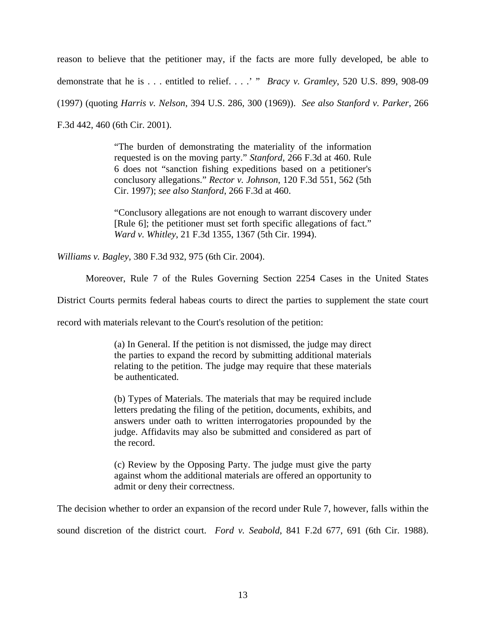reason to believe that the petitioner may, if the facts are more fully developed, be able to demonstrate that he is . . . entitled to relief. . . .' " *Bracy v. Gramley*, 520 U.S. 899, 908-09 (1997) (quoting *Harris v. Nelson*, 394 U.S. 286, 300 (1969)). *See also Stanford v. Parker*, 266 F.3d 442, 460 (6th Cir. 2001).

> "The burden of demonstrating the materiality of the information requested is on the moving party." *Stanford*, 266 F.3d at 460. Rule 6 does not "sanction fishing expeditions based on a petitioner's conclusory allegations." *Rector v. Johnson*, 120 F.3d 551, 562 (5th Cir. 1997); *see also Stanford*, 266 F.3d at 460.

> "Conclusory allegations are not enough to warrant discovery under [Rule 6]; the petitioner must set forth specific allegations of fact." *Ward v. Whitley*, 21 F.3d 1355, 1367 (5th Cir. 1994).

*Williams v. Bagley*, 380 F.3d 932, 975 (6th Cir. 2004).

Moreover, Rule 7 of the Rules Governing Section 2254 Cases in the United States

District Courts permits federal habeas courts to direct the parties to supplement the state court

record with materials relevant to the Court's resolution of the petition:

(a) In General. If the petition is not dismissed, the judge may direct the parties to expand the record by submitting additional materials relating to the petition. The judge may require that these materials be authenticated.

(b) Types of Materials. The materials that may be required include letters predating the filing of the petition, documents, exhibits, and answers under oath to written interrogatories propounded by the judge. Affidavits may also be submitted and considered as part of the record.

(c) Review by the Opposing Party. The judge must give the party against whom the additional materials are offered an opportunity to admit or deny their correctness.

The decision whether to order an expansion of the record under Rule 7, however, falls within the sound discretion of the district court. *Ford v. Seabold*, 841 F.2d 677, 691 (6th Cir. 1988).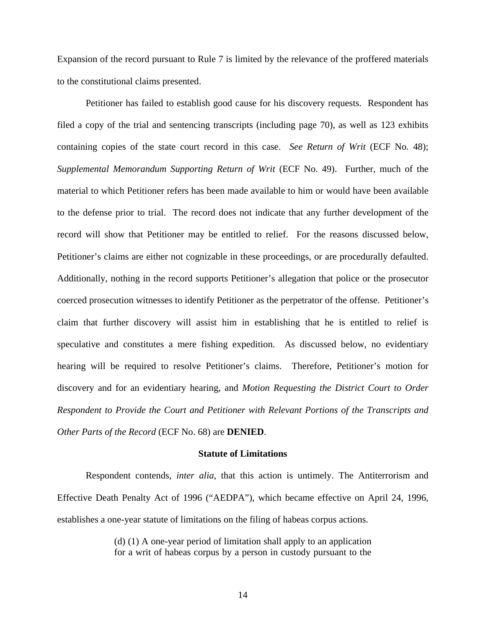Expansion of the record pursuant to Rule 7 is limited by the relevance of the proffered materials to the constitutional claims presented.

Petitioner has failed to establish good cause for his discovery requests. Respondent has filed a copy of the trial and sentencing transcripts (including page 70), as well as 123 exhibits containing copies of the state court record in this case. *See Return of Writ* (ECF No. 48); *Supplemental Memorandum Supporting Return of Writ* (ECF No. 49). Further, much of the material to which Petitioner refers has been made available to him or would have been available to the defense prior to trial. The record does not indicate that any further development of the record will show that Petitioner may be entitled to relief. For the reasons discussed below, Petitioner's claims are either not cognizable in these proceedings, or are procedurally defaulted. Additionally, nothing in the record supports Petitioner's allegation that police or the prosecutor coerced prosecution witnesses to identify Petitioner as the perpetrator of the offense. Petitioner's claim that further discovery will assist him in establishing that he is entitled to relief is speculative and constitutes a mere fishing expedition. As discussed below, no evidentiary hearing will be required to resolve Petitioner's claims. Therefore, Petitioner's motion for discovery and for an evidentiary hearing, and *Motion Requesting the District Court to Order Respondent to Provide the Court and Petitioner with Relevant Portions of the Transcripts and Other Parts of the Record* (ECF No. 68) are **DENIED**.

### **Statute of Limitations**

Respondent contends, *inter alia*, that this action is untimely. The Antiterrorism and Effective Death Penalty Act of 1996 ("AEDPA"), which became effective on April 24, 1996, establishes a one-year statute of limitations on the filing of habeas corpus actions.

> (d) (1) A one-year period of limitation shall apply to an application for a writ of habeas corpus by a person in custody pursuant to the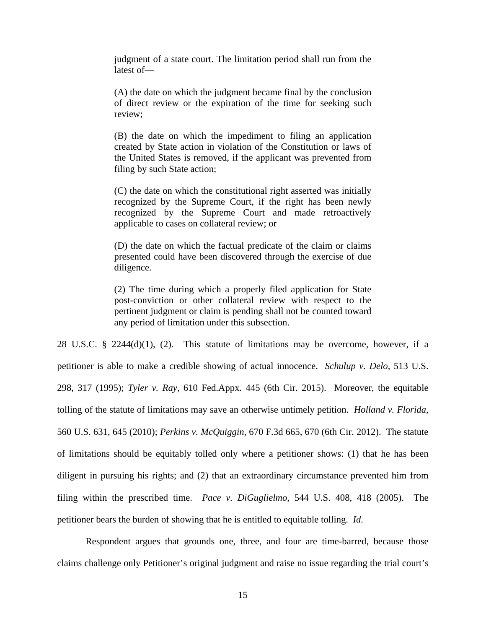judgment of a state court. The limitation period shall run from the latest of—

(A) the date on which the judgment became final by the conclusion of direct review or the expiration of the time for seeking such review;

(B) the date on which the impediment to filing an application created by State action in violation of the Constitution or laws of the United States is removed, if the applicant was prevented from filing by such State action;

(C) the date on which the constitutional right asserted was initially recognized by the Supreme Court, if the right has been newly recognized by the Supreme Court and made retroactively applicable to cases on collateral review; or

(D) the date on which the factual predicate of the claim or claims presented could have been discovered through the exercise of due diligence.

(2) The time during which a properly filed application for State post-conviction or other collateral review with respect to the pertinent judgment or claim is pending shall not be counted toward any period of limitation under this subsection.

28 U.S.C. § 2244(d)(1), (2). This statute of limitations may be overcome, however, if a petitioner is able to make a credible showing of actual innocence. *Schulup v. Delo,* 513 U.S. 298, 317 (1995); *Tyler v. Ray,* 610 Fed.Appx. 445 (6th Cir. 2015). Moreover, the equitable tolling of the statute of limitations may save an otherwise untimely petition. *Holland v. Florida*, 560 U.S. 631, 645 (2010); *Perkins v. McQuiggin*, 670 F.3d 665, 670 (6th Cir. 2012). The statute of limitations should be equitably tolled only where a petitioner shows: (1) that he has been diligent in pursuing his rights; and (2) that an extraordinary circumstance prevented him from filing within the prescribed time. *Pace v. DiGuglielmo*, 544 U.S. 408, 418 (2005). The petitioner bears the burden of showing that he is entitled to equitable tolling. *Id*.

Respondent argues that grounds one, three, and four are time-barred, because those claims challenge only Petitioner's original judgment and raise no issue regarding the trial court's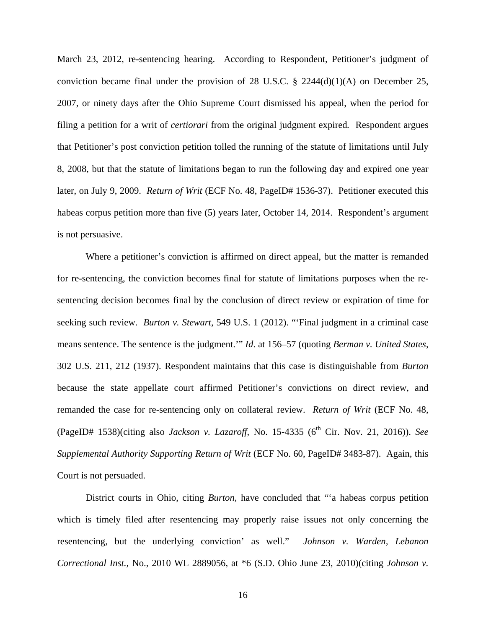March 23, 2012, re-sentencing hearing. According to Respondent, Petitioner's judgment of conviction became final under the provision of 28 U.S.C. § 2244(d)(1)(A) on December 25, 2007, or ninety days after the Ohio Supreme Court dismissed his appeal, when the period for filing a petition for a writ of *certiorari* from the original judgment expired*.* Respondent argues that Petitioner's post conviction petition tolled the running of the statute of limitations until July 8, 2008, but that the statute of limitations began to run the following day and expired one year later, on July 9, 2009. *Return of Writ* (ECF No. 48, PageID# 1536-37). Petitioner executed this habeas corpus petition more than five (5) years later, October 14, 2014. Respondent's argument is not persuasive.

Where a petitioner's conviction is affirmed on direct appeal, but the matter is remanded for re-sentencing, the conviction becomes final for statute of limitations purposes when the resentencing decision becomes final by the conclusion of direct review or expiration of time for seeking such review. *Burton v. Stewart*, 549 U.S. 1 (2012). "'Final judgment in a criminal case means sentence. The sentence is the judgment.'" *Id*. at 156–57 (quoting *Berman v. United States*, 302 U.S. 211, 212 (1937). Respondent maintains that this case is distinguishable from *Burton*  because the state appellate court affirmed Petitioner's convictions on direct review, and remanded the case for re-sentencing only on collateral review. *Return of Writ* (ECF No. 48, (PageID# 1538)(citing also *Jackson v. Lazaroff*, No. 15-4335 (6<sup>th</sup> Cir. Nov. 21, 2016)). See *Supplemental Authority Supporting Return of Writ* (ECF No. 60, PageID# 3483-87). Again, this Court is not persuaded.

District courts in Ohio, citing *Burton,* have concluded that "'a habeas corpus petition which is timely filed after resentencing may properly raise issues not only concerning the resentencing, but the underlying conviction' as well." *Johnson v. Warden, Lebanon Correctional Inst.,* No., 2010 WL 2889056, at \*6 (S.D. Ohio June 23, 2010)(citing *Johnson v.* 

16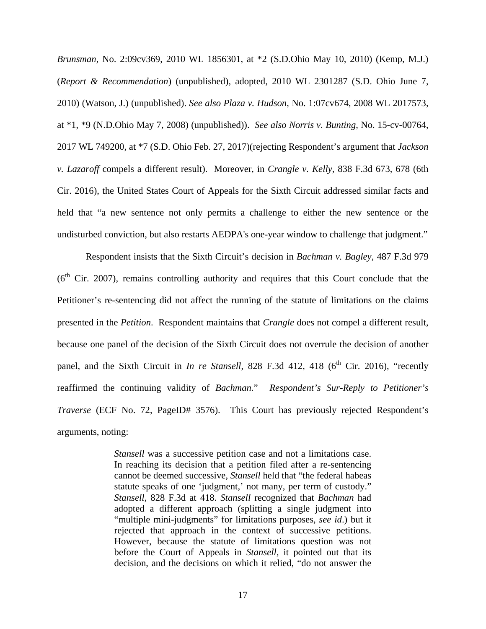*Brunsman*, No. 2:09cv369, 2010 WL 1856301, at \*2 (S.D.Ohio May 10, 2010) (Kemp, M.J.) (*Report & Recommendation*) (unpublished), adopted, 2010 WL 2301287 (S.D. Ohio June 7, 2010) (Watson, J.) (unpublished). *See also Plaza v. Hudson*, No. 1:07cv674, 2008 WL 2017573, at \*1, \*9 (N.D.Ohio May 7, 2008) (unpublished)). *See also Norris v. Bunting*, No. 15-cv-00764, 2017 WL 749200, at \*7 (S.D. Ohio Feb. 27, 2017)(rejecting Respondent's argument that *Jackson v. Lazaroff* compels a different result). Moreover, in *Crangle v. Kelly*, 838 F.3d 673, 678 (6th Cir. 2016), the United States Court of Appeals for the Sixth Circuit addressed similar facts and held that "a new sentence not only permits a challenge to either the new sentence or the undisturbed conviction, but also restarts AEDPA's one-year window to challenge that judgment."

 Respondent insists that the Sixth Circuit's decision in *Bachman v. Bagley*, 487 F.3d 979  $(6<sup>th</sup> Cir. 2007)$ , remains controlling authority and requires that this Court conclude that the Petitioner's re-sentencing did not affect the running of the statute of limitations on the claims presented in the *Petition*. Respondent maintains that *Crangle* does not compel a different result, because one panel of the decision of the Sixth Circuit does not overrule the decision of another panel, and the Sixth Circuit in *In re Stansell*, 828 F.3d 412, 418 (6<sup>th</sup> Cir. 2016), "recently reaffirmed the continuing validity of *Bachman.*" *Respondent's Sur-Reply to Petitioner's Traverse* (ECF No. 72, PageID# 3576). This Court has previously rejected Respondent's arguments, noting:

> *Stansell* was a successive petition case and not a limitations case. In reaching its decision that a petition filed after a re-sentencing cannot be deemed successive, *Stansell* held that "the federal habeas statute speaks of one 'judgment,' not many, per term of custody." *Stansell*, 828 F.3d at 418. *Stansell* recognized that *Bachman* had adopted a different approach (splitting a single judgment into "multiple mini-judgments" for limitations purposes, *see id*.) but it rejected that approach in the context of successive petitions. However, because the statute of limitations question was not before the Court of Appeals in *Stansell,* it pointed out that its decision, and the decisions on which it relied, "do not answer the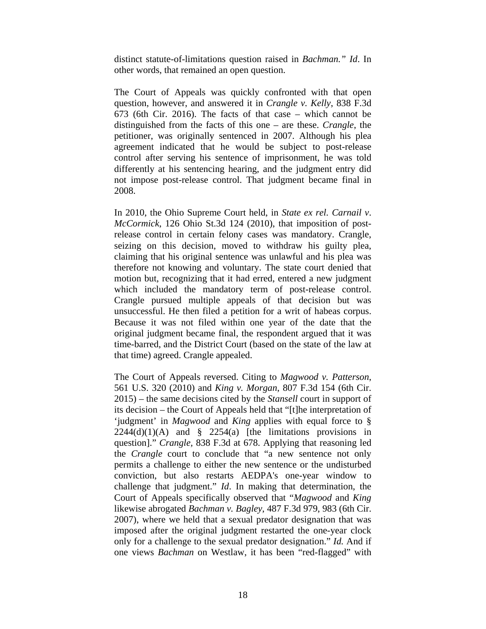distinct statute-of-limitations question raised in *Bachman." Id*. In other words, that remained an open question.

The Court of Appeals was quickly confronted with that open question, however, and answered it in *Crangle v. Kelly*, 838 F.3d 673 (6th Cir. 2016). The facts of that case – which cannot be distinguished from the facts of this one – are these. *Crangle*, the petitioner, was originally sentenced in 2007. Although his plea agreement indicated that he would be subject to post-release control after serving his sentence of imprisonment, he was told differently at his sentencing hearing, and the judgment entry did not impose post-release control. That judgment became final in 2008.

In 2010, the Ohio Supreme Court held, in *State ex rel. Carnail v*. *McCormick*, 126 Ohio St.3d 124 (2010), that imposition of postrelease control in certain felony cases was mandatory. Crangle, seizing on this decision, moved to withdraw his guilty plea, claiming that his original sentence was unlawful and his plea was therefore not knowing and voluntary. The state court denied that motion but, recognizing that it had erred, entered a new judgment which included the mandatory term of post-release control. Crangle pursued multiple appeals of that decision but was unsuccessful. He then filed a petition for a writ of habeas corpus. Because it was not filed within one year of the date that the original judgment became final, the respondent argued that it was time-barred, and the District Court (based on the state of the law at that time) agreed. Crangle appealed.

The Court of Appeals reversed. Citing to *Magwood v. Patterson*, 561 U.S. 320 (2010) and *King v. Morgan*, 807 F.3d 154 (6th Cir. 2015) – the same decisions cited by the *Stansell* court in support of its decision – the Court of Appeals held that "[t]he interpretation of 'judgment' in *Magwood* and *King* applies with equal force to §  $2244(d)(1)(A)$  and §  $2254(a)$  [the limitations provisions in question]." *Crangle,* 838 F.3d at 678. Applying that reasoning led the *Crangle* court to conclude that "a new sentence not only permits a challenge to either the new sentence or the undisturbed conviction, but also restarts AEDPA's one-year window to challenge that judgment." *Id*. In making that determination, the Court of Appeals specifically observed that "*Magwood* and *King*  likewise abrogated *Bachman v. Bagley*, 487 F.3d 979, 983 (6th Cir. 2007), where we held that a sexual predator designation that was imposed after the original judgment restarted the one-year clock only for a challenge to the sexual predator designation." *Id.* And if one views *Bachman* on Westlaw, it has been "red-flagged" with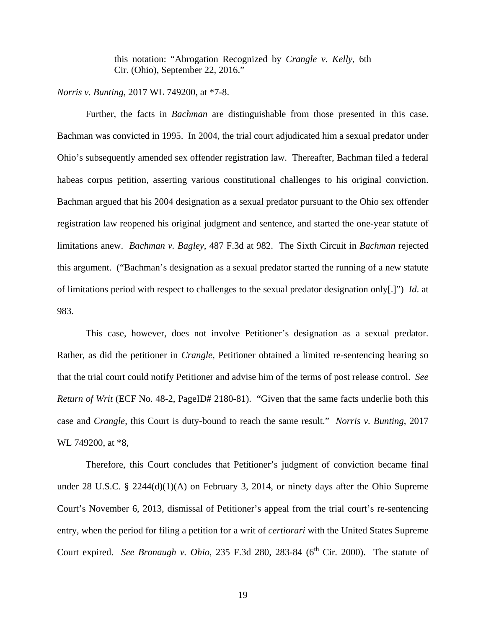this notation: "Abrogation Recognized by *Crangle v. Kelly*, 6th Cir. (Ohio), September 22, 2016."

*Norris v. Bunting*, 2017 WL 749200, at \*7-8.

 Further, the facts in *Bachman* are distinguishable from those presented in this case. Bachman was convicted in 1995. In 2004, the trial court adjudicated him a sexual predator under Ohio's subsequently amended sex offender registration law. Thereafter, Bachman filed a federal habeas corpus petition, asserting various constitutional challenges to his original conviction. Bachman argued that his 2004 designation as a sexual predator pursuant to the Ohio sex offender registration law reopened his original judgment and sentence, and started the one-year statute of limitations anew. *Bachman v. Bagley*, 487 F.3d at 982. The Sixth Circuit in *Bachman* rejected this argument. ("Bachman's designation as a sexual predator started the running of a new statute of limitations period with respect to challenges to the sexual predator designation only[.]") *Id*. at 983.

 This case, however, does not involve Petitioner's designation as a sexual predator. Rather, as did the petitioner in *Crangle*, Petitioner obtained a limited re-sentencing hearing so that the trial court could notify Petitioner and advise him of the terms of post release control. *See Return of Writ* (ECF No. 48-2, PageID# 2180-81). "Given that the same facts underlie both this case and *Crangle*, this Court is duty-bound to reach the same result." *Norris v. Bunting*, 2017 WL 749200, at \*8,

 Therefore, this Court concludes that Petitioner's judgment of conviction became final under 28 U.S.C. § 2244(d)(1)(A) on February 3, 2014, or ninety days after the Ohio Supreme Court's November 6, 2013, dismissal of Petitioner's appeal from the trial court's re-sentencing entry, when the period for filing a petition for a writ of *certiorari* with the United States Supreme Court expired. *See Bronaugh v. Ohio*, 235 F.3d 280, 283-84 (6<sup>th</sup> Cir. 2000). The statute of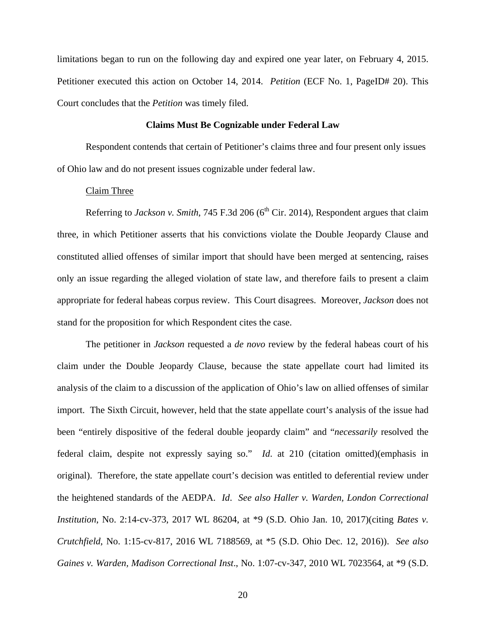limitations began to run on the following day and expired one year later, on February 4, 2015. Petitioner executed this action on October 14, 2014. *Petition* (ECF No. 1, PageID# 20). This Court concludes that the *Petition* was timely filed.

### **Claims Must Be Cognizable under Federal Law**

 Respondent contends that certain of Petitioner's claims three and four present only issues of Ohio law and do not present issues cognizable under federal law.

#### Claim Three

Referring to *Jackson v. Smith*, 745 F.3d 206 (6<sup>th</sup> Cir. 2014), Respondent argues that claim three, in which Petitioner asserts that his convictions violate the Double Jeopardy Clause and constituted allied offenses of similar import that should have been merged at sentencing, raises only an issue regarding the alleged violation of state law, and therefore fails to present a claim appropriate for federal habeas corpus review. This Court disagrees. Moreover, *Jackson* does not stand for the proposition for which Respondent cites the case.

 The petitioner in *Jackson* requested a *de novo* review by the federal habeas court of his claim under the Double Jeopardy Clause, because the state appellate court had limited its analysis of the claim to a discussion of the application of Ohio's law on allied offenses of similar import. The Sixth Circuit, however, held that the state appellate court's analysis of the issue had been "entirely dispositive of the federal double jeopardy claim" and "*necessarily* resolved the federal claim, despite not expressly saying so." *Id*. at 210 (citation omitted)(emphasis in original). Therefore, the state appellate court's decision was entitled to deferential review under the heightened standards of the AEDPA. *Id*. *See also Haller v. Warden, London Correctional Institution*, No. 2:14-cv-373, 2017 WL 86204, at \*9 (S.D. Ohio Jan. 10, 2017)(citing *Bates v. Crutchfield*, No. 1:15-cv-817, 2016 WL 7188569, at \*5 (S.D. Ohio Dec. 12, 2016)). *See also Gaines v. Warden, Madison Correctional Inst*., No. 1:07-cv-347, 2010 WL 7023564, at \*9 (S.D.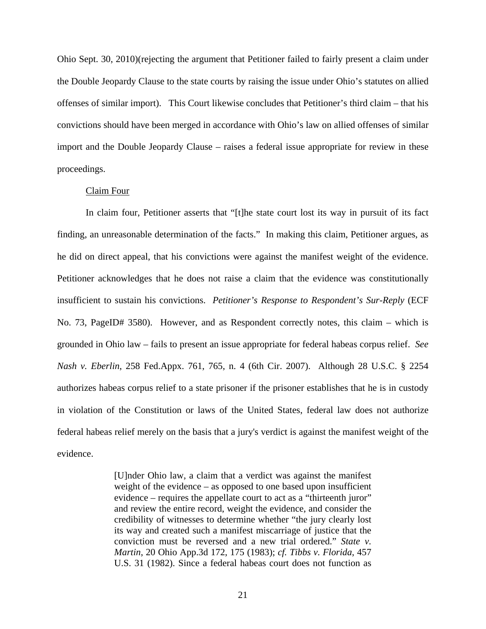Ohio Sept. 30, 2010)(rejecting the argument that Petitioner failed to fairly present a claim under the Double Jeopardy Clause to the state courts by raising the issue under Ohio's statutes on allied offenses of similar import). This Court likewise concludes that Petitioner's third claim – that his convictions should have been merged in accordance with Ohio's law on allied offenses of similar import and the Double Jeopardy Clause – raises a federal issue appropriate for review in these proceedings.

#### Claim Four

In claim four, Petitioner asserts that "[t]he state court lost its way in pursuit of its fact finding, an unreasonable determination of the facts." In making this claim, Petitioner argues, as he did on direct appeal, that his convictions were against the manifest weight of the evidence. Petitioner acknowledges that he does not raise a claim that the evidence was constitutionally insufficient to sustain his convictions. *Petitioner's Response to Respondent's Sur-Reply* (ECF No. 73, PageID# 3580). However, and as Respondent correctly notes, this claim – which is grounded in Ohio law – fails to present an issue appropriate for federal habeas corpus relief. *See Nash v. Eberlin*, 258 Fed.Appx. 761, 765, n. 4 (6th Cir. 2007). Although 28 U.S.C. § 2254 authorizes habeas corpus relief to a state prisoner if the prisoner establishes that he is in custody in violation of the Constitution or laws of the United States, federal law does not authorize federal habeas relief merely on the basis that a jury's verdict is against the manifest weight of the evidence.

> [U]nder Ohio law, a claim that a verdict was against the manifest weight of the evidence – as opposed to one based upon insufficient evidence – requires the appellate court to act as a "thirteenth juror" and review the entire record, weight the evidence, and consider the credibility of witnesses to determine whether "the jury clearly lost its way and created such a manifest miscarriage of justice that the conviction must be reversed and a new trial ordered." *State v. Martin*, 20 Ohio App.3d 172, 175 (1983); *cf. Tibbs v. Florida*, 457 U.S. 31 (1982). Since a federal habeas court does not function as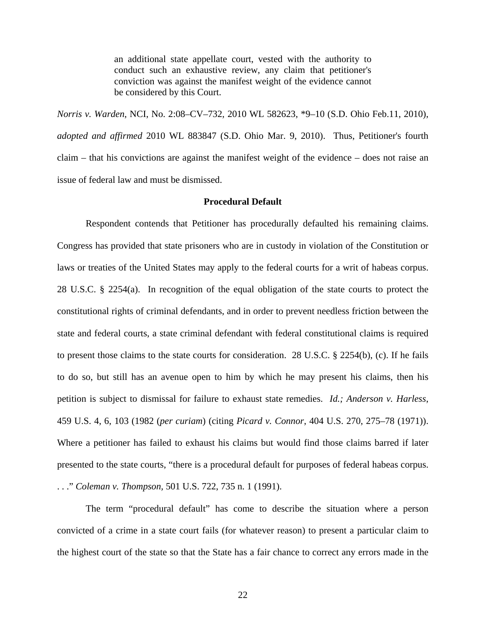an additional state appellate court, vested with the authority to conduct such an exhaustive review, any claim that petitioner's conviction was against the manifest weight of the evidence cannot be considered by this Court.

*Norris v. Warden*, NCI, No. 2:08–CV–732, 2010 WL 582623, \*9–10 (S.D. Ohio Feb.11, 2010), *adopted and affirmed* 2010 WL 883847 (S.D. Ohio Mar. 9, 2010). Thus, Petitioner's fourth claim – that his convictions are against the manifest weight of the evidence – does not raise an issue of federal law and must be dismissed.

#### **Procedural Default**

Respondent contends that Petitioner has procedurally defaulted his remaining claims. Congress has provided that state prisoners who are in custody in violation of the Constitution or laws or treaties of the United States may apply to the federal courts for a writ of habeas corpus. 28 U.S.C. § 2254(a). In recognition of the equal obligation of the state courts to protect the constitutional rights of criminal defendants, and in order to prevent needless friction between the state and federal courts, a state criminal defendant with federal constitutional claims is required to present those claims to the state courts for consideration. 28 U.S.C. § 2254(b), (c). If he fails to do so, but still has an avenue open to him by which he may present his claims, then his petition is subject to dismissal for failure to exhaust state remedies. *Id.; Anderson v. Harless*, 459 U.S. 4, 6, 103 (1982 (*per curiam*) (citing *Picard v. Connor*, 404 U.S. 270, 275–78 (1971)). Where a petitioner has failed to exhaust his claims but would find those claims barred if later presented to the state courts, "there is a procedural default for purposes of federal habeas corpus. . . ." *Coleman v. Thompson,* 501 U.S. 722, 735 n. 1 (1991).

The term "procedural default" has come to describe the situation where a person convicted of a crime in a state court fails (for whatever reason) to present a particular claim to the highest court of the state so that the State has a fair chance to correct any errors made in the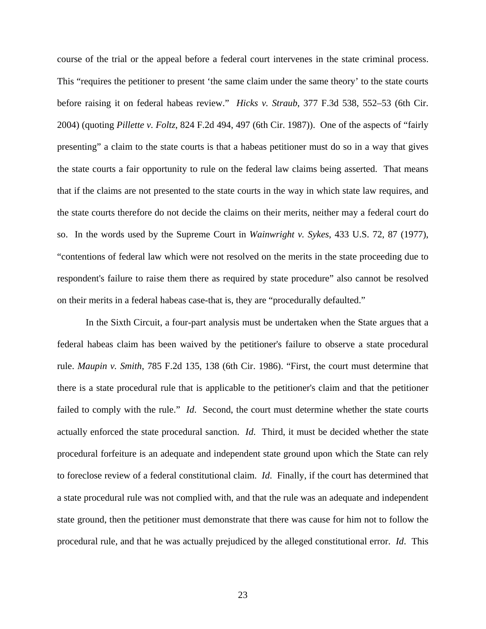course of the trial or the appeal before a federal court intervenes in the state criminal process. This "requires the petitioner to present 'the same claim under the same theory' to the state courts before raising it on federal habeas review." *Hicks v. Straub*, 377 F.3d 538, 552–53 (6th Cir. 2004) (quoting *Pillette v. Foltz*, 824 F.2d 494, 497 (6th Cir. 1987)). One of the aspects of "fairly presenting" a claim to the state courts is that a habeas petitioner must do so in a way that gives the state courts a fair opportunity to rule on the federal law claims being asserted. That means that if the claims are not presented to the state courts in the way in which state law requires, and the state courts therefore do not decide the claims on their merits, neither may a federal court do so. In the words used by the Supreme Court in *Wainwright v. Sykes*, 433 U.S. 72, 87 (1977), "contentions of federal law which were not resolved on the merits in the state proceeding due to respondent's failure to raise them there as required by state procedure" also cannot be resolved on their merits in a federal habeas case-that is, they are "procedurally defaulted."

In the Sixth Circuit, a four-part analysis must be undertaken when the State argues that a federal habeas claim has been waived by the petitioner's failure to observe a state procedural rule. *Maupin v. Smith*, 785 F.2d 135, 138 (6th Cir. 1986). "First, the court must determine that there is a state procedural rule that is applicable to the petitioner's claim and that the petitioner failed to comply with the rule." *Id*. Second, the court must determine whether the state courts actually enforced the state procedural sanction. *Id*. Third, it must be decided whether the state procedural forfeiture is an adequate and independent state ground upon which the State can rely to foreclose review of a federal constitutional claim. *Id*. Finally, if the court has determined that a state procedural rule was not complied with, and that the rule was an adequate and independent state ground, then the petitioner must demonstrate that there was cause for him not to follow the procedural rule, and that he was actually prejudiced by the alleged constitutional error. *Id*. This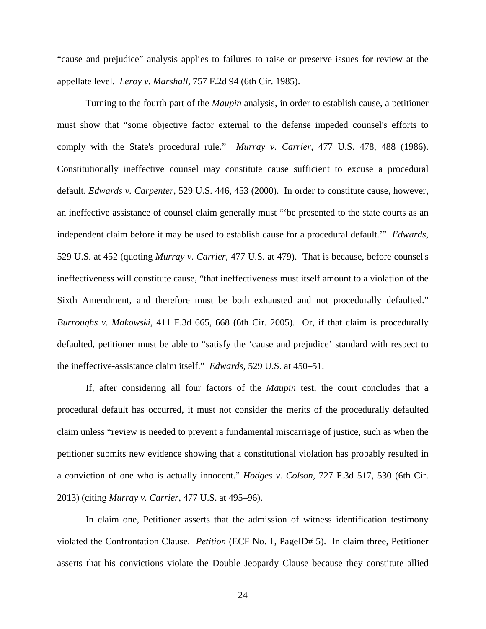"cause and prejudice" analysis applies to failures to raise or preserve issues for review at the appellate level. *Leroy v. Marshall*, 757 F.2d 94 (6th Cir. 1985).

Turning to the fourth part of the *Maupin* analysis, in order to establish cause, a petitioner must show that "some objective factor external to the defense impeded counsel's efforts to comply with the State's procedural rule." *Murray v. Carrier*, 477 U.S. 478, 488 (1986). Constitutionally ineffective counsel may constitute cause sufficient to excuse a procedural default. *Edwards v. Carpenter*, 529 U.S. 446, 453 (2000). In order to constitute cause, however, an ineffective assistance of counsel claim generally must "'be presented to the state courts as an independent claim before it may be used to establish cause for a procedural default.'" *Edwards,* 529 U.S. at 452 (quoting *Murray v. Carrier*, 477 U.S. at 479). That is because, before counsel's ineffectiveness will constitute cause, "that ineffectiveness must itself amount to a violation of the Sixth Amendment, and therefore must be both exhausted and not procedurally defaulted." *Burroughs v. Makowski*, 411 F.3d 665, 668 (6th Cir. 2005). Or, if that claim is procedurally defaulted, petitioner must be able to "satisfy the 'cause and prejudice' standard with respect to the ineffective-assistance claim itself." *Edwards,* 529 U.S. at 450–51.

If, after considering all four factors of the *Maupin* test, the court concludes that a procedural default has occurred, it must not consider the merits of the procedurally defaulted claim unless "review is needed to prevent a fundamental miscarriage of justice, such as when the petitioner submits new evidence showing that a constitutional violation has probably resulted in a conviction of one who is actually innocent." *Hodges v. Colson*, 727 F.3d 517, 530 (6th Cir. 2013) (citing *Murray v. Carrier*, 477 U.S. at 495–96).

In claim one, Petitioner asserts that the admission of witness identification testimony violated the Confrontation Clause. *Petition* (ECF No. 1, PageID# 5). In claim three, Petitioner asserts that his convictions violate the Double Jeopardy Clause because they constitute allied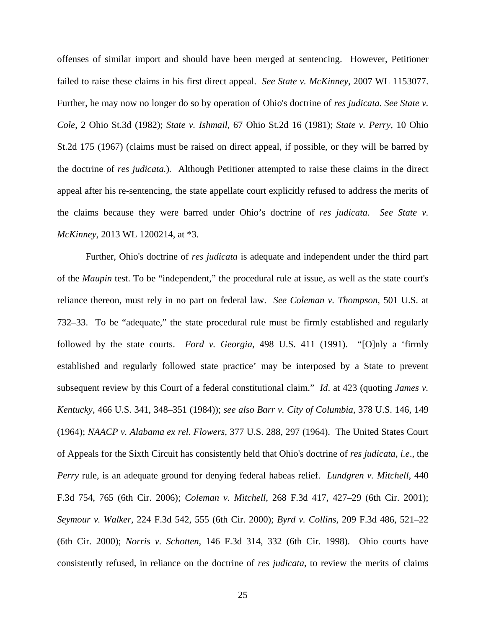offenses of similar import and should have been merged at sentencing. However, Petitioner failed to raise these claims in his first direct appeal. *See State v. McKinney*, 2007 WL 1153077. Further, he may now no longer do so by operation of Ohio's doctrine of *res judicata. See State v. Cole*, 2 Ohio St.3d (1982); *State v. Ishmail*, 67 Ohio St.2d 16 (1981); *State v. Perry*, 10 Ohio St.2d 175 (1967) (claims must be raised on direct appeal, if possible, or they will be barred by the doctrine of *res judicata.*)*.* Although Petitioner attempted to raise these claims in the direct appeal after his re-sentencing, the state appellate court explicitly refused to address the merits of the claims because they were barred under Ohio's doctrine of *res judicata. See State v. McKinney,* 2013 WL 1200214, at \*3.

Further, Ohio's doctrine of *res judicata* is adequate and independent under the third part of the *Maupin* test. To be "independent," the procedural rule at issue, as well as the state court's reliance thereon, must rely in no part on federal law. *See Coleman v. Thompson*, 501 U.S. at 732–33. To be "adequate," the state procedural rule must be firmly established and regularly followed by the state courts. *Ford v. Georgia*, 498 U.S. 411 (1991). "[O]nly a 'firmly established and regularly followed state practice' may be interposed by a State to prevent subsequent review by this Court of a federal constitutional claim." *Id*. at 423 (quoting *James v. Kentucky*, 466 U.S. 341, 348–351 (1984)); *see also Barr v. City of Columbia*, 378 U.S. 146, 149 (1964); *NAACP v. Alabama ex rel. Flowers*, 377 U.S. 288, 297 (1964). The United States Court of Appeals for the Sixth Circuit has consistently held that Ohio's doctrine of *res judicata, i.e*., the *Perry* rule, is an adequate ground for denying federal habeas relief. *Lundgren v. Mitchell*, 440 F.3d 754, 765 (6th Cir. 2006); *Coleman v. Mitchell*, 268 F.3d 417, 427–29 (6th Cir. 2001); *Seymour v. Walker,* 224 F.3d 542, 555 (6th Cir. 2000); *Byrd v. Collins*, 209 F.3d 486, 521–22 (6th Cir. 2000); *Norris v. Schotten*, 146 F.3d 314, 332 (6th Cir. 1998). Ohio courts have consistently refused, in reliance on the doctrine of *res judicata*, to review the merits of claims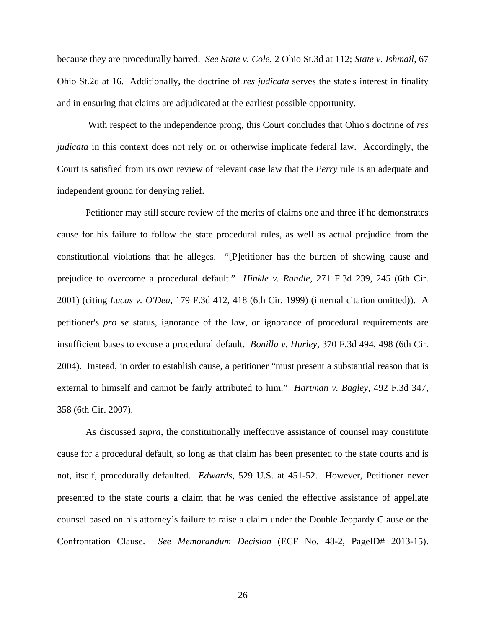because they are procedurally barred. *See State v. Cole*, 2 Ohio St.3d at 112; *State v. Ishmail*, 67 Ohio St.2d at 16. Additionally, the doctrine of *res judicata* serves the state's interest in finality and in ensuring that claims are adjudicated at the earliest possible opportunity.

 With respect to the independence prong, this Court concludes that Ohio's doctrine of *res judicata* in this context does not rely on or otherwise implicate federal law. Accordingly, the Court is satisfied from its own review of relevant case law that the *Perry* rule is an adequate and independent ground for denying relief.

Petitioner may still secure review of the merits of claims one and three if he demonstrates cause for his failure to follow the state procedural rules, as well as actual prejudice from the constitutional violations that he alleges. "[P]etitioner has the burden of showing cause and prejudice to overcome a procedural default." *Hinkle v. Randle*, 271 F.3d 239, 245 (6th Cir. 2001) (citing *Lucas v. O'Dea*, 179 F.3d 412, 418 (6th Cir. 1999) (internal citation omitted)). A petitioner's *pro se* status, ignorance of the law, or ignorance of procedural requirements are insufficient bases to excuse a procedural default. *Bonilla v. Hurley*, 370 F.3d 494, 498 (6th Cir. 2004). Instead, in order to establish cause, a petitioner "must present a substantial reason that is external to himself and cannot be fairly attributed to him." *Hartman v. Bagley*, 492 F.3d 347, 358 (6th Cir. 2007).

As discussed *supra*, the constitutionally ineffective assistance of counsel may constitute cause for a procedural default, so long as that claim has been presented to the state courts and is not, itself, procedurally defaulted. *Edwards,* 529 U.S. at 451-52. However, Petitioner never presented to the state courts a claim that he was denied the effective assistance of appellate counsel based on his attorney's failure to raise a claim under the Double Jeopardy Clause or the Confrontation Clause. *See Memorandum Decision* (ECF No. 48-2, PageID# 2013-15).

26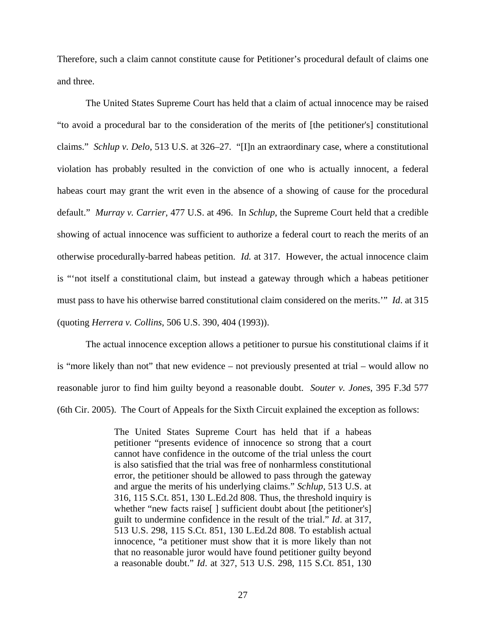Therefore, such a claim cannot constitute cause for Petitioner's procedural default of claims one and three.

The United States Supreme Court has held that a claim of actual innocence may be raised "to avoid a procedural bar to the consideration of the merits of [the petitioner's] constitutional claims." *Schlup v. Delo*, 513 U.S. at 326–27. "[I]n an extraordinary case, where a constitutional violation has probably resulted in the conviction of one who is actually innocent, a federal habeas court may grant the writ even in the absence of a showing of cause for the procedural default." *Murray v. Carrier,* 477 U.S. at 496. In *Schlup*, the Supreme Court held that a credible showing of actual innocence was sufficient to authorize a federal court to reach the merits of an otherwise procedurally-barred habeas petition. *Id.* at 317. However, the actual innocence claim is "'not itself a constitutional claim, but instead a gateway through which a habeas petitioner must pass to have his otherwise barred constitutional claim considered on the merits.'" *Id*. at 315 (quoting *Herrera v. Collins*, 506 U.S. 390, 404 (1993)).

The actual innocence exception allows a petitioner to pursue his constitutional claims if it is "more likely than not" that new evidence – not previously presented at trial – would allow no reasonable juror to find him guilty beyond a reasonable doubt. *Souter v. Jones*, 395 F.3d 577 (6th Cir. 2005). The Court of Appeals for the Sixth Circuit explained the exception as follows:

> The United States Supreme Court has held that if a habeas petitioner "presents evidence of innocence so strong that a court cannot have confidence in the outcome of the trial unless the court is also satisfied that the trial was free of nonharmless constitutional error, the petitioner should be allowed to pass through the gateway and argue the merits of his underlying claims." *Schlup,* 513 U.S. at 316, 115 S.Ct. 851, 130 L.Ed.2d 808. Thus, the threshold inquiry is whether "new facts raise<sup>[]</sup> sufficient doubt about [the petitioner's] guilt to undermine confidence in the result of the trial." *Id*. at 317, 513 U.S. 298, 115 S.Ct. 851, 130 L.Ed.2d 808. To establish actual innocence, "a petitioner must show that it is more likely than not that no reasonable juror would have found petitioner guilty beyond a reasonable doubt." *Id*. at 327, 513 U.S. 298, 115 S.Ct. 851, 130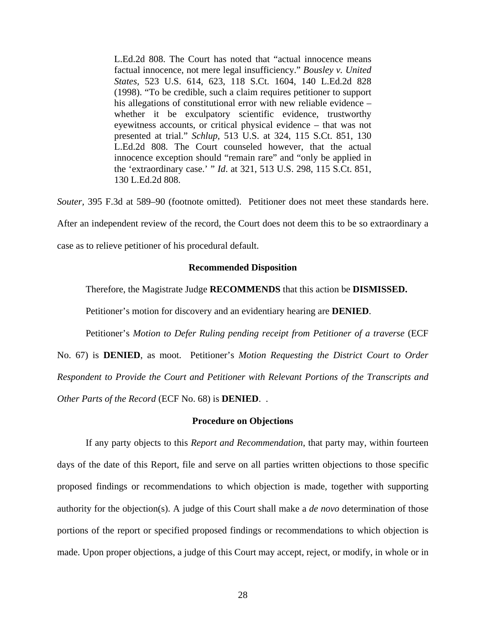L.Ed.2d 808. The Court has noted that "actual innocence means factual innocence, not mere legal insufficiency." *Bousley v. United States,* 523 U.S. 614, 623, 118 S.Ct. 1604, 140 L.Ed.2d 828 (1998). "To be credible, such a claim requires petitioner to support his allegations of constitutional error with new reliable evidence – whether it be exculpatory scientific evidence, trustworthy eyewitness accounts, or critical physical evidence – that was not presented at trial." *Schlup,* 513 U.S. at 324, 115 S.Ct. 851, 130 L.Ed.2d 808. The Court counseled however, that the actual innocence exception should "remain rare" and "only be applied in the 'extraordinary case.' " *Id*. at 321, 513 U.S. 298, 115 S.Ct. 851, 130 L.Ed.2d 808.

*Souter,* 395 F.3d at 589–90 (footnote omitted). Petitioner does not meet these standards here. After an independent review of the record, the Court does not deem this to be so extraordinary a

case as to relieve petitioner of his procedural default.

### **Recommended Disposition**

Therefore, the Magistrate Judge **RECOMMENDS** that this action be **DISMISSED.** 

Petitioner's motion for discovery and an evidentiary hearing are **DENIED**.

Petitioner's *Motion to Defer Ruling pending receipt from Petitioner of a traverse* (ECF No. 67) is **DENIED**, as moot. Petitioner's *Motion Requesting the District Court to Order Respondent to Provide the Court and Petitioner with Relevant Portions of the Transcripts and Other Parts of the Record* (ECF No. 68) is **DENIED**. .

### **Procedure on Objections**

If any party objects to this *Report and Recommendation*, that party may, within fourteen days of the date of this Report, file and serve on all parties written objections to those specific proposed findings or recommendations to which objection is made, together with supporting authority for the objection(s). A judge of this Court shall make a *de novo* determination of those portions of the report or specified proposed findings or recommendations to which objection is made. Upon proper objections, a judge of this Court may accept, reject, or modify, in whole or in